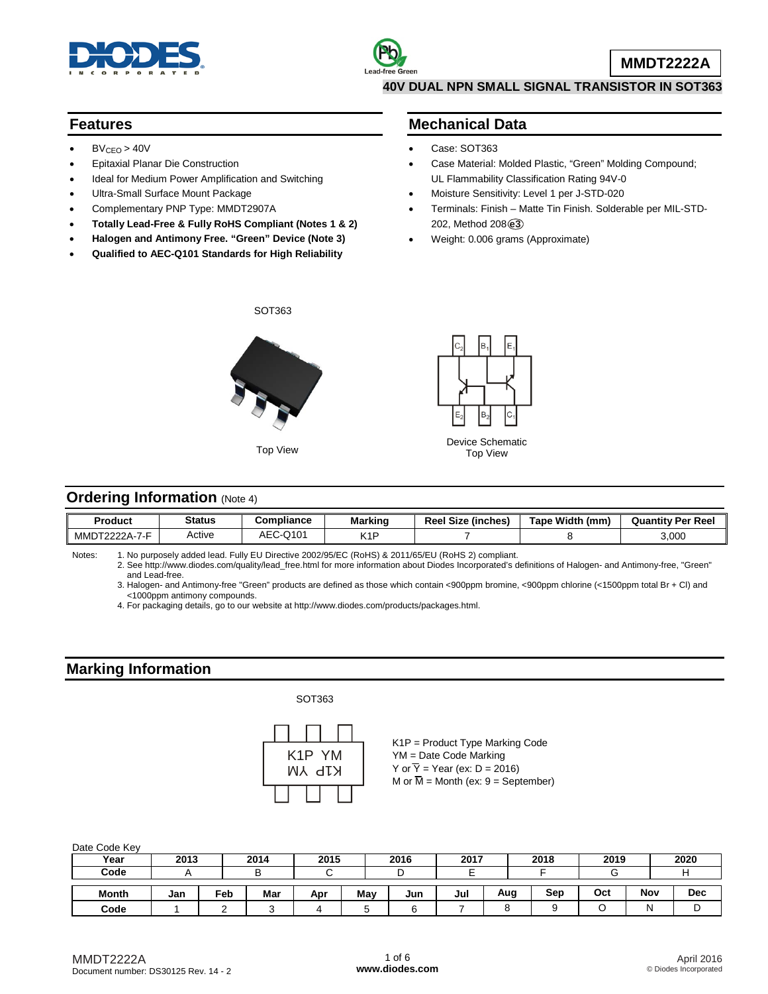

#### **Features**

- $BV<sub>CEO</sub> > 40V$
- Epitaxial Planar Die Construction
- Ideal for Medium Power Amplification and Switching
- Ultra-Small Surface Mount Package
- Complementary PNP Type: MMDT2907A
- **Totally Lead-Free & Fully RoHS Compliant (Notes 1 & 2)**
- **Halogen and Antimony Free. "Green" Device (Note 3)**
- **Qualified to AEC-Q101 Standards for High Reliability**

### **Mechanical Data**

- Case: SOT363
- Case Material: Molded Plastic, "Green" Molding Compound; UL Flammability Classification Rating 94V-0
- Moisture Sensitivity: Level 1 per J-STD-020
- Terminals: Finish Matte Tin Finish. Solderable per MIL-STD-202, Method 208 **e3**
- Weight: 0.006 grams (Approximate)



SOT363

Top View



Top View

### **Ordering Information (Note 4)**

| Product                      | Status | Compliance | <b>Marking</b>                   | <b>Size</b><br>Reel<br>∈(inches) | <b>Width</b><br>⊺ape<br>(mm | <b>Quantity Per Reel</b> |
|------------------------------|--------|------------|----------------------------------|----------------------------------|-----------------------------|--------------------------|
| - -<br>MMDT22.<br>. <i>.</i> | Active | AEC-Q101   | <b>K<sub>1</sub>r</b><br>1 N 1 1 |                                  |                             | 3,000                    |

Notes: 1. No purposely added lead. Fully EU Directive 2002/95/EC (RoHS) & 2011/65/EU (RoHS 2) compliant.

2. See [http://www.diodes.com/quality/lead\\_free.html](http://www.diodes.com/quality/lead_free.html) for more information about Diodes Incorporated's definitions of Halogen- and Antimony-free, "Green" and Lead-free.

3. Halogen- and Antimony-free "Green" products are defined as those which contain <900ppm bromine, <900ppm chlorine (<1500ppm total Br + Cl) and <1000ppm antimony compounds.

4. For packaging details, go to our website at [http://www.diodes.com/products/packages.html.](http://www.diodes.com/products/packages.html)

#### **Marking Information**

#### SOT363



K1P = Product Type Marking Code YM = Date Code Marking Y or  $\overline{Y}$  = Year (ex: D = 2016) M or  $\overline{M}$  = Month (ex: 9 = September)

Date Code Key

| $         -$ |      |     |      |      |     |      |      |     |      |      |     |            |
|--------------|------|-----|------|------|-----|------|------|-----|------|------|-----|------------|
| Year         | 2013 |     | 2014 | 2015 |     | 2016 | 2017 |     | 2018 | 2019 |     | 2020       |
| Code         |      |     |      |      |     |      |      |     |      |      |     |            |
|              |      |     |      |      |     |      |      |     |      |      |     |            |
| <b>Month</b> | Jan  | Feb | Mar  | Apr  | May | Jun  | Jul  | Aug | Sep  | Oct  | Nov | <b>Dec</b> |
| Code         |      |     |      |      |     |      |      |     |      |      | N   |            |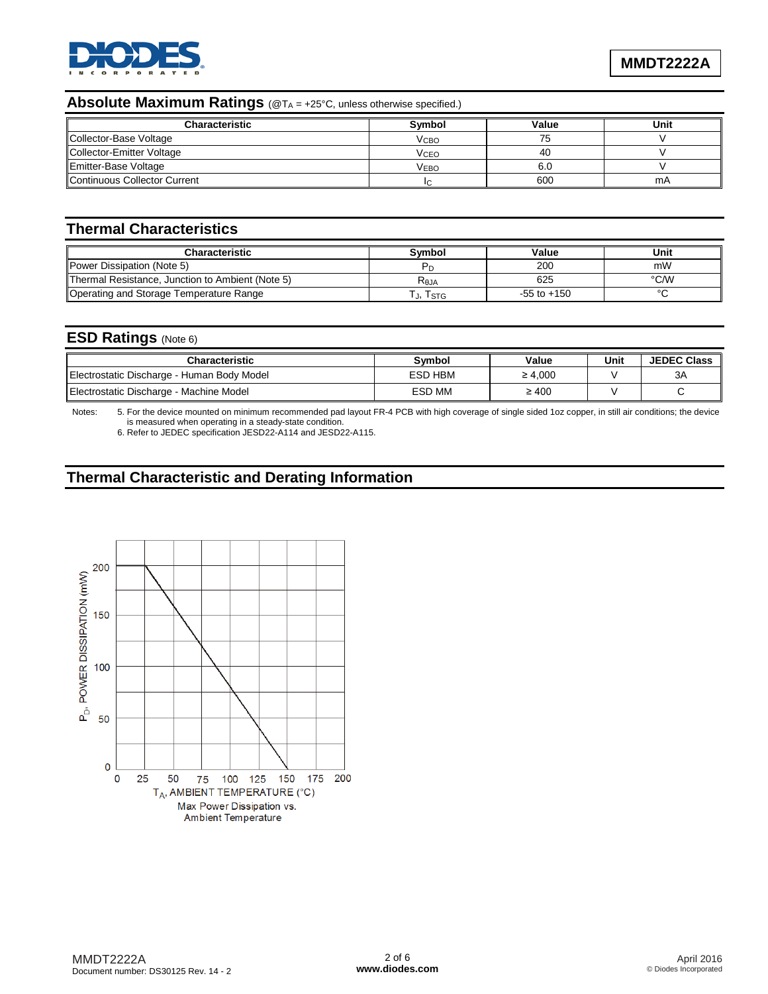

# Absolute Maximum Ratings (@T<sub>A</sub> = +25°C, unless otherwise specified.)

| <b>Characteristic</b>        | Svmbol                  | Value | Unit |
|------------------------------|-------------------------|-------|------|
| Collector-Base Voltage       | <b>V</b> <sub>CВО</sub> | 75    |      |
| Collector-Emitter Voltage    | V <sub>CEO</sub>        | 40    |      |
| Emitter-Base Voltage         | <b>VEBO</b>             | 6.C   |      |
| Continuous Collector Current |                         | 600   | mA   |

### **Thermal Characteristics**

| Characteristic                                   | Svmbol           | Value           | Unit   |
|--------------------------------------------------|------------------|-----------------|--------|
| Power Dissipation (Note 5)                       |                  | 200             | mW     |
| Thermal Resistance, Junction to Ambient (Note 5) | R <sub>eja</sub> | 625             | °C/W   |
| Operating and Storage Temperature Range          | J, ISTG          | $-55$ to $+150$ | $\sim$ |

## **ESD Ratings** (Note 6)

| <b>Characteristic</b>                      | Svmbol        | Value        | Unit | <b>JEDEC Class</b> |
|--------------------------------------------|---------------|--------------|------|--------------------|
| Electrostatic Discharge - Human Body Model | ESD HBM       | $\geq 4.000$ |      | ЗΑ                 |
| Electrostatic Discharge - Machine Model    | <b>ESD MM</b> | $\geq 400$   |      |                    |

Notes: 5. For the device mounted on minimum recommended pad layout FR-4 PCB with high coverage of single sided 1oz copper, in still air conditions; the device is measured when operating in a steady-state condition.

6. Refer to JEDEC specification JESD22-A114 and JESD22-A115.

## **Thermal Characteristic and Derating Information**

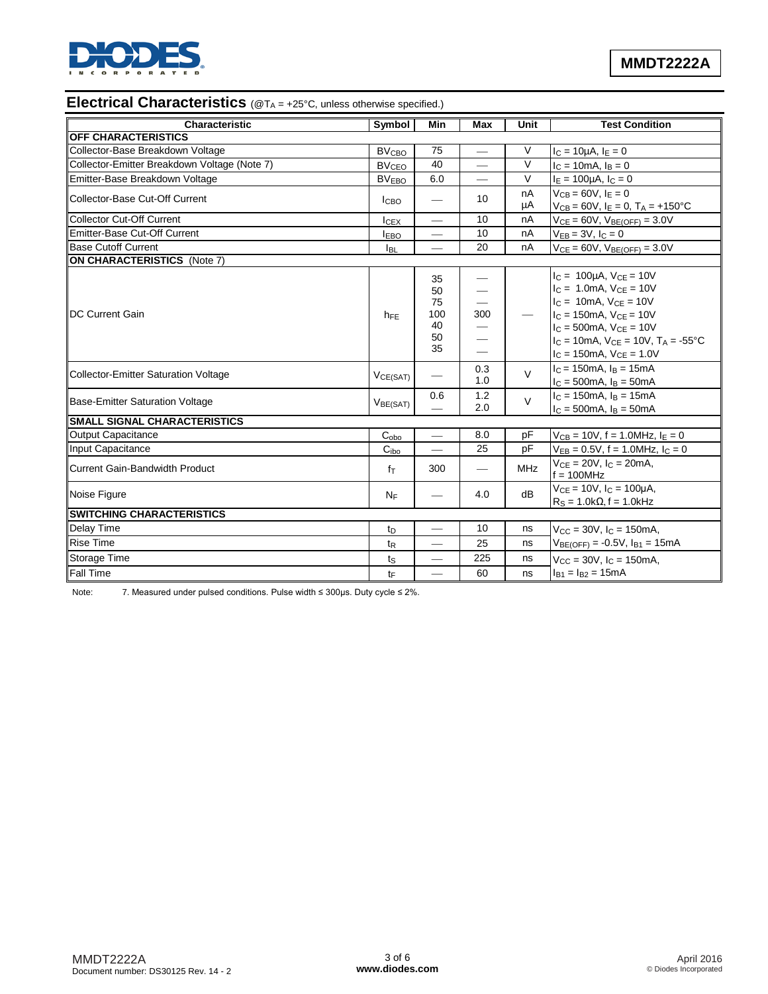

# **Electrical Characteristics** (@T<sub>A</sub> = +25°C, unless otherwise specified.)

| Characteristic                               | Symbol                  | Min                                     | Max                      | Unit              | <b>Test Condition</b>                                                                                                                                                                                                                                                  |
|----------------------------------------------|-------------------------|-----------------------------------------|--------------------------|-------------------|------------------------------------------------------------------------------------------------------------------------------------------------------------------------------------------------------------------------------------------------------------------------|
| OFF CHARACTERISTICS                          |                         |                                         |                          |                   |                                                                                                                                                                                                                                                                        |
| Collector-Base Breakdown Voltage             | <b>BV<sub>CBO</sub></b> | 75                                      | $\overline{\phantom{0}}$ | $\vee$            | $I_C = 10 \mu A$ , $I_E = 0$                                                                                                                                                                                                                                           |
| Collector-Emitter Breakdown Voltage (Note 7) | <b>BV<sub>CEO</sub></b> | 40                                      |                          | $\overline{\vee}$ | $I_C = 10mA, I_B = 0$                                                                                                                                                                                                                                                  |
| Emitter-Base Breakdown Voltage               | <b>BVEBO</b>            | 6.0                                     | $\overline{\phantom{0}}$ | $\vee$            | $I_E = 100 \mu A$ , $I_C = 0$                                                                                                                                                                                                                                          |
| Collector-Base Cut-Off Current               | I <sub>CBO</sub>        | $\overbrace{\phantom{aaaaa}}$           | 10                       | nA<br>μA          | $V_{CR} = 60V$ , $I_F = 0$<br>$V_{CB} = 60V$ , $I_E = 0$ , $T_A = +150^{\circ}C$                                                                                                                                                                                       |
| <b>Collector Cut-Off Current</b>             | $I_{CEX}$               |                                         | 10                       | nA                | $V_{CE} = 60V$ , $V_{BE(OFF)} = 3.0V$                                                                                                                                                                                                                                  |
| Emitter-Base Cut-Off Current                 | <b>IEBO</b>             | $\overline{\phantom{0}}$                | 10                       | nA                | $V_{EB} = 3V, I_C = 0$                                                                                                                                                                                                                                                 |
| <b>Base Cutoff Current</b>                   | <b>I</b> BL             |                                         | 20                       | nA                | $V_{CE} = 60V$ , $V_{BE(OFF)} = 3.0V$                                                                                                                                                                                                                                  |
| <b>ON CHARACTERISTICS (Note 7)</b>           |                         |                                         |                          |                   |                                                                                                                                                                                                                                                                        |
| <b>IDC Current Gain</b>                      | $h_{FE}$                | 35<br>50<br>75<br>100<br>40<br>50<br>35 | 300                      |                   | $I_C = 100 \mu A$ , $V_{CF} = 10V$<br>$I_C = 1.0mA$ , $V_{CE} = 10V$<br>$I_C = 10mA$ , $V_{CE} = 10V$<br>$I_C = 150mA$ , $V_{CE} = 10V$<br>$I_{C} = 500$ mA, $V_{CE} = 10V$<br>$I_C = 10$ mA, $V_{CE} = 10V$ , $T_A = -55^{\circ}C$<br>$I_C = 150mA$ , $V_{CE} = 1.0V$ |
| <b>Collector-Emitter Saturation Voltage</b>  | VCE(SAT)                | $\overline{\phantom{0}}$                | 0.3<br>1.0               | $\vee$            | $I_C = 150mA$ , $I_B = 15mA$<br>$I_C = 500mA$ , $I_B = 50mA$                                                                                                                                                                                                           |
| <b>Base-Emitter Saturation Voltage</b>       | V <sub>BE(SAT)</sub>    | 0.6                                     | 1.2<br>2.0               | $\vee$            | $IC = 150mA$ , $IB = 15mA$<br>$I_C = 500 \text{mA}$ , $I_B = 50 \text{mA}$                                                                                                                                                                                             |
| <b>SMALL SIGNAL CHARACTERISTICS</b>          |                         |                                         |                          |                   |                                                                                                                                                                                                                                                                        |
| <b>Output Capacitance</b>                    | $C_{\rm obo}$           | $\overline{\phantom{a}}$                | 8.0                      | pF                | $V_{CB} = 10V$ , f = 1.0MHz, $I_E = 0$                                                                                                                                                                                                                                 |
| Input Capacitance                            | C <sub>ibo</sub>        |                                         | 25                       | pF                | $V_{EB} = 0.5V$ , f = 1.0MHz, $I_C = 0$                                                                                                                                                                                                                                |
| <b>Current Gain-Bandwidth Product</b>        | $f_{\rm T}$             | 300                                     | $\overline{\phantom{m}}$ | <b>MHz</b>        | $V_{CE} = 20V$ , $I_C = 20mA$ ,<br>$f = 100$ MHz                                                                                                                                                                                                                       |
| Noise Figure                                 | NF                      |                                         | 4.0                      | dB                | $V_{CE} = 10V$ , $I_C = 100\mu A$ ,<br>$R_S = 1.0k\Omega$ , f = 1.0kHz                                                                                                                                                                                                 |
| <b>SWITCHING CHARACTERISTICS</b>             |                         |                                         |                          |                   |                                                                                                                                                                                                                                                                        |
| Delay Time                                   | $t_{D}$                 | $\overline{\phantom{0}}$                | 10                       | ns                | $V_{CC} = 30V$ , $I_C = 150mA$ ,                                                                                                                                                                                                                                       |
| <b>Rise Time</b>                             | t <sub>R</sub>          |                                         | 25                       | ns                | $V_{BE(OFF)} = -0.5V$ , $I_{B1} = 15mA$                                                                                                                                                                                                                                |
| Storage Time                                 | ts                      | $\overline{\phantom{0}}$                | 225                      | ns                | $V_{CC} = 30V$ , $I_C = 150$ mA,                                                                                                                                                                                                                                       |
| Fall Time                                    | $t_{\text{F}}$          |                                         | 60                       | ns                | $I_{B1} = I_{B2} = 15mA$                                                                                                                                                                                                                                               |

Note: 7. Measured under pulsed conditions. Pulse width ≤ 300µs. Duty cycle ≤ 2%.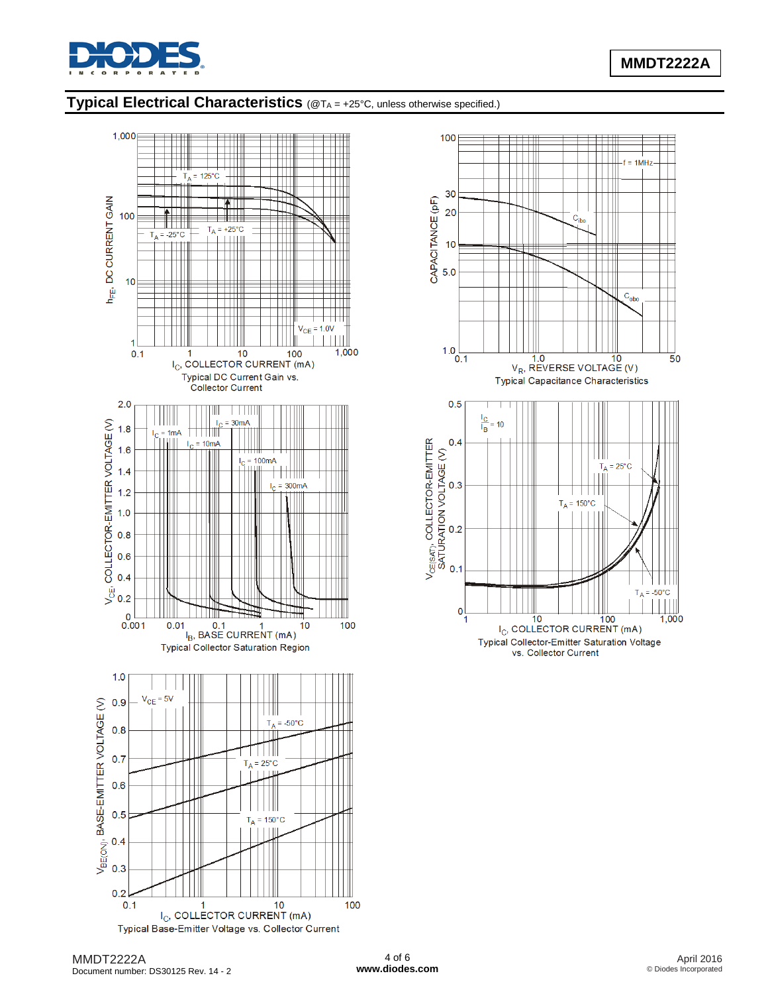

## **Typical Electrical Characteristics** (@TA = +25°C, unless otherwise specified.)



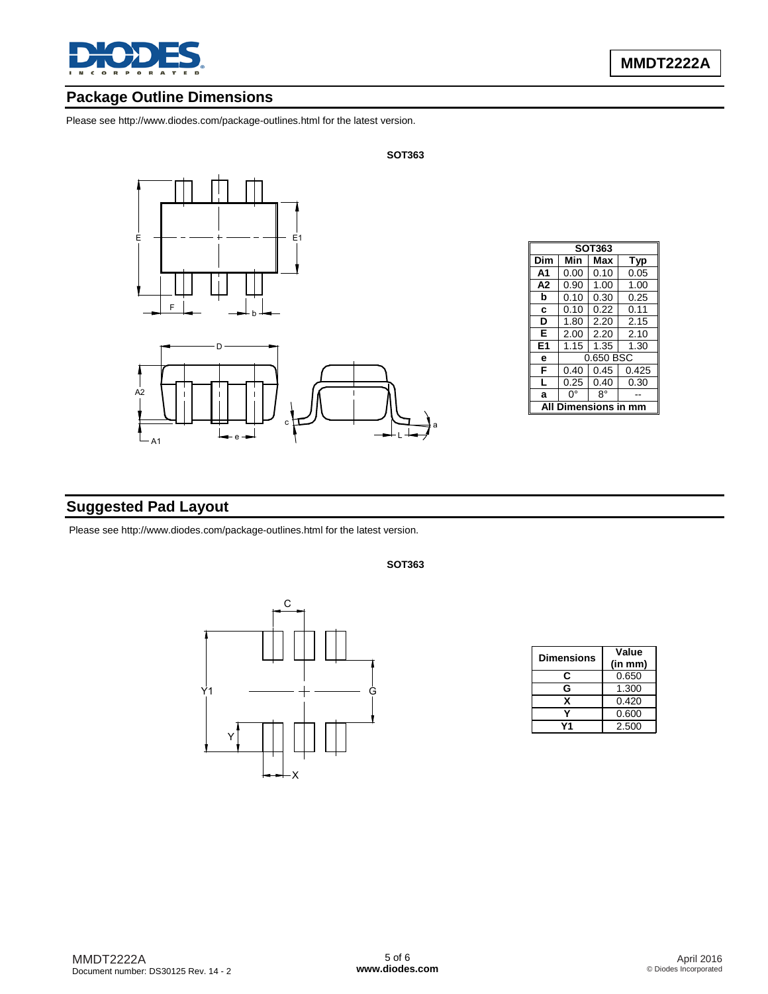

### **Package Outline Dimensions**

Please see <http://www.diodes.com/package-outlines.html> for the latest version.



| <b>SOT363</b>  |      |           |       |  |  |  |  |
|----------------|------|-----------|-------|--|--|--|--|
| Dim            | Min  | Max       | Typ   |  |  |  |  |
| А1             | 0.00 | 0.10      | 0.05  |  |  |  |  |
| A <sub>2</sub> | 0.90 | 1.00      | 1.00  |  |  |  |  |
| b              | 0.10 | 0.30      | 0.25  |  |  |  |  |
| c              | 0.10 | 0.22      | 0.11  |  |  |  |  |
| D              | 1.80 | 2.20      | 2.15  |  |  |  |  |
| Е              | 2.00 | 2.20      | 2.10  |  |  |  |  |
| E1             | 1.15 | 1.35      | 1.30  |  |  |  |  |
| е              |      | 0.650 BSC |       |  |  |  |  |
| F              | 0.40 | 0.45      | 0.425 |  |  |  |  |
| L              | 0.25 | 0.40      | 0.30  |  |  |  |  |
| a              | ŋ۰   | R۰        |       |  |  |  |  |
| nsin<br>P      |      |           |       |  |  |  |  |

## **Suggested Pad Layout**

Please see <http://www.diodes.com/package-outlines.html> for the latest version.



| <b>Dimensions</b> | Value<br>(in m <sub>m</sub> ) |
|-------------------|-------------------------------|
| C                 | 0.650                         |
| G                 | 1.300                         |
| x                 | 0.420                         |
|                   | 0.600                         |
|                   | 2.500                         |

**SOT363**